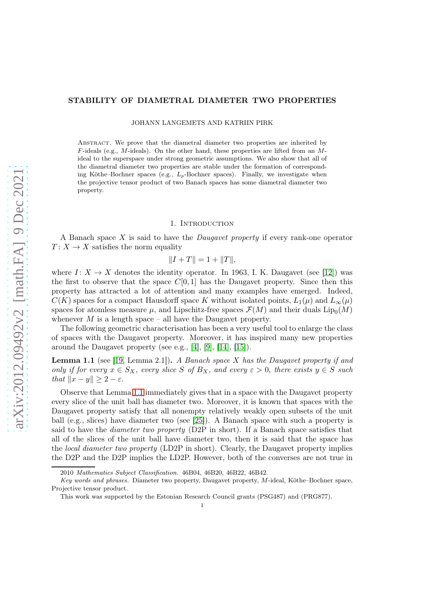# STABILITY OF DIAMETRAL DIAMETER TWO PROPERTIES

JOHANN LANGEMETS AND KATRIIN PIRK

Abstract. We prove that the diametral diameter two properties are inherited by  $F$ -ideals (e.g.,  $M$ -ideals). On the other hand, these properties are lifted from an  $M$ ideal to the superspace under strong geometric assumptions. We also show that all of the diametral diameter two properties are stable under the formation of corresponding Köthe–Bochner spaces (e.g.,  $L_p$ -Bochner spaces). Finally, we investigate when the projective tensor product of two Banach spaces has some diametral diameter two property.

### 1. INTRODUCTION

A Banach space X is said to have the Daugavet property if every rank-one operator  $T: X \to X$  satisfies the norm equality

$$
||I + T|| = 1 + ||T||,
$$

where  $I: X \to X$  denotes the identity operator. In 1963, I. K. Daugavet (see [\[12\]](#page-12-0)) was the first to observe that the space  $C[0, 1]$  has the Daugavet property. Since then this property has attracted a lot of attention and many examples have emerged. Indeed,  $C(K)$  spaces for a compact Hausdorff space K without isolated points,  $L_1(\mu)$  and  $L_\infty(\mu)$ spaces for atomless measure  $\mu$ , and Lipschitz-free spaces  $\mathcal{F}(M)$  and their duals  $\text{Lip}_0(M)$ whenever  $M$  is a length space – all have the Daugavet property.

The following geometric characterisation has been a very useful tool to enlarge the class of spaces with the Daugavet property. Moreover, it has inspired many new properties around the Daugavet property (see e.g., [\[4\]](#page-12-1), [\[9\]](#page-12-2), [\[14\]](#page-12-3), [\[15\]](#page-12-4)).

<span id="page-0-0"></span>**Lemma 1.1** (see [\[19,](#page-12-5) Lemma 2.1]). A Banach space X has the Daugavet property if and only if for every  $x \in S_X$ , every slice S of  $B_X$ , and every  $\varepsilon > 0$ , there exists  $y \in S$  such that  $||x - y|| \geq 2 - \varepsilon$ .

Observe that Lemma [1.1](#page-0-0) immediately gives that in a space with the Daugavet property every slice of the unit ball has diameter two. Moreover, it is known that spaces with the Daugavet property satisfy that all nonempty relatively weakly open subsets of the unit ball (e.g., slices) have diameter two (see [\[25\]](#page-12-6)). A Banach space with such a property is said to have the diameter two property (D2P in short). If a Banach space satisfies that all of the slices of the unit ball have diameter two, then it is said that the space has the *local diameter two property* (LD2P in short). Clearly, the Daugavet property implies the D2P and the D2P implies the LD2P. However, both of the converses are not true in

<sup>2010</sup> Mathematics Subject Classification. 46B04, 46B20, 46B22, 46B42.

Key words and phrases. Diameter two property, Daugavet property, M-ideal, Köthe–Bochner space, Projective tensor product.

This work was supported by the Estonian Research Council grants (PSG487) and (PRG877).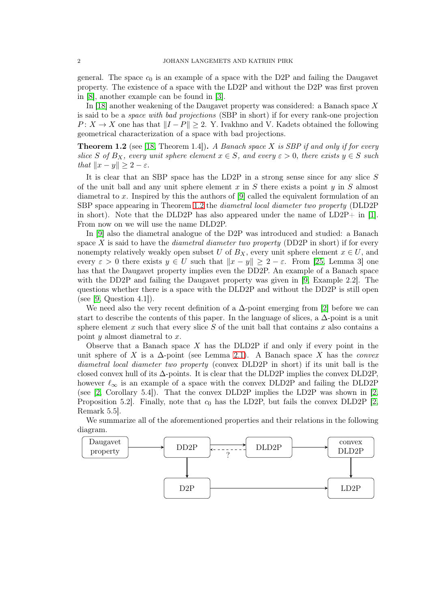general. The space  $c_0$  is an example of a space with the D2P and failing the Daugavet property. The existence of a space with the LD2P and without the D2P was first proven in [\[8\]](#page-12-7), another example can be found in [\[3\]](#page-11-0).

In [\[18\]](#page-12-8) another weakening of the Daugavet property was considered: a Banach space  $X$ is said to be a space with bad projections (SBP in short) if for every rank-one projection  $P: X \to X$  one has that  $||I - P|| \geq 2$ . Y. Ivakhno and V. Kadets obtained the following geometrical characterization of a space with bad projections.

<span id="page-1-0"></span>**Theorem 1.2** (see [\[18,](#page-12-8) Theorem 1.4]). A Banach space X is SBP if and only if for every slice S of  $B_X$ , every unit sphere element  $x \in S$ , and every  $\varepsilon > 0$ , there exists  $y \in S$  such that  $||x - y|| \geq 2 - \varepsilon$ .

It is clear that an SBP space has the LD2P in a strong sense since for any slice  $S$ of the unit ball and any unit sphere element  $x$  in  $S$  there exists a point  $y$  in  $S$  almost diametral to x. Inspired by this the authors of  $[9]$  called the equivalent formulation of an SBP space appearing in Theorem [1.2](#page-1-0) the diametral local diameter two property (DLD2P in short). Note that the DLD2P has also appeared under the name of  $LD2P+$  in [\[1\]](#page-11-1). From now on we will use the name DLD2P.

In [\[9\]](#page-12-2) also the diametral analogue of the D2P was introduced and studied: a Banach space X is said to have the *diametral diameter two property* (DD2P in short) if for every nonempty relatively weakly open subset U of  $B_X$ , every unit sphere element  $x \in U$ , and every  $\varepsilon > 0$  there exists  $y \in U$  such that  $||x - y|| \ge 2 - \varepsilon$ . From [\[25,](#page-12-6) Lemma 3] one has that the Daugavet property implies even the DD2P. An example of a Banach space with the DD2P and failing the Daugavet property was given in [\[9,](#page-12-2) Example 2.2]. The questions whether there is a space with the DLD2P and without the DD2P is still open (see [\[9,](#page-12-2) Question 4.1]).

We need also the very recent definition of a  $\Delta$ -point emerging from [\[2\]](#page-11-2) before we can start to describe the contents of this paper. In the language of slices, a  $\Delta$ -point is a unit sphere element  $x$  such that every slice  $S$  of the unit ball that contains  $x$  also contains a point  $y$  almost diametral to  $x$ .

Observe that a Banach space  $X$  has the DLD2P if and only if every point in the unit sphere of X is a  $\Delta$ -point (see Lemma [2.1\)](#page-3-0). A Banach space X has the *convex* diametral local diameter two property (convex DLD2P in short) if its unit ball is the closed convex hull of its  $\Delta$ -points. It is clear that the DLD2P implies the convex DLD2P, however  $\ell_{\infty}$  is an example of a space with the convex DLD2P and failing the DLD2P (see [\[2,](#page-11-2) Corollary 5.4]). That the convex DLD2P implies the LD2P was shown in [\[2,](#page-11-2) Proposition 5.2. Finally, note that  $c_0$  has the LD2P, but fails the convex DLD2P [\[2,](#page-11-2) Remark 5.5].

We summarize all of the aforementioned properties and their relations in the following diagram.

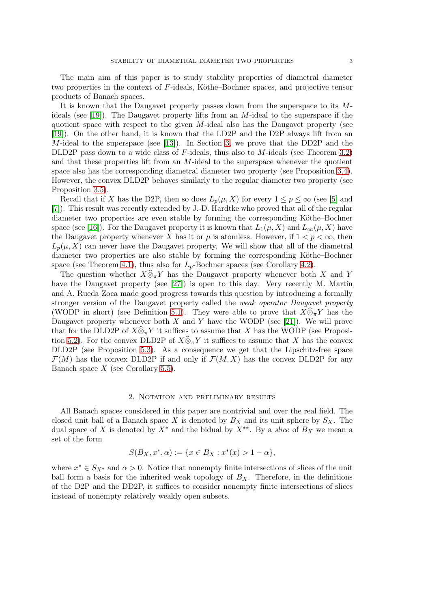The main aim of this paper is to study stability properties of diametral diameter two properties in the context of F-ideals, Köthe–Bochner spaces, and projective tensor products of Banach spaces.

It is known that the Daugavet property passes down from the superspace to its M-ideals (see [\[19\]](#page-12-5)). The Daugavet property lifts from an M-ideal to the superspace if the quotient space with respect to the given  $M$ -ideal also has the Daugavet property (see [\[19\]](#page-12-5)). On the other hand, it is known that the LD2P and the D2P always lift from an M-ideal to the superspace (see [\[13\]](#page-12-9)). In Section [3,](#page-4-0) we prove that the DD2P and the DLD2P pass down to a wide class of  $F$ -ideals, thus also to  $M$ -ideals (see Theorem [3.2\)](#page-4-1) and that these properties lift from an M-ideal to the superspace whenever the quotient space also has the corresponding diametral diameter two property (see Proposition [3.4\)](#page-5-0). However, the convex DLD2P behaves similarly to the regular diameter two property (see Proposition [3.5\)](#page-6-0).

Recall that if X has the D2P, then so does  $L_p(\mu, X)$  for every  $1 \leq p \leq \infty$  (see [\[5\]](#page-12-10) and [\[7\]](#page-12-11)). This result was recently extended by J.-D. Hardtke who proved that all of the regular diameter two properties are even stable by forming the corresponding Köthe–Bochner space (see [\[16\]](#page-12-12)). For the Daugavet property it is known that  $L_1(\mu, X)$  and  $L_\infty(\mu, X)$  have the Daugavet property whenever X has it or  $\mu$  is atomless. However, if  $1 < p < \infty$ , then  $L_p(\mu, X)$  can never have the Daugavet property. We will show that all of the diametral diameter two properties are also stable by forming the corresponding Köthe–Bochner space (see Theorem [4.1\)](#page-7-0), thus also for  $L_p$ -Bochner spaces (see Corollary [4.2\)](#page-9-0).

The question whether  $X\widehat{\otimes}_{\pi}Y$  has the Daugavet property whenever both X and Y have the Daugavet property (see [\[27\]](#page-12-13)) is open to this day. Very recently M. Martín and A. Rueda Zoca made good progress towards this question by introducing a formally stronger version of the Daugavet property called the weak operator Daugavet property (WODP in short) (see Definition [5.1\)](#page-9-1). They were able to prove that  $X\widehat{\otimes}_{\pi} Y$  has the Daugavet property whenever both  $X$  and  $Y$  have the WODP (see [\[21\]](#page-12-14)). We will prove that for the DLD2P of  $X\widehat{\otimes}_\pi Y$  it suffices to assume that X has the WODP (see Proposi-tion [5.2\)](#page-10-0). For the convex DLD2P of  $X\hat{\otimes}_{\pi} Y$  it suffices to assume that X has the convex DLD2P (see Proposition [5.3\)](#page-10-1). As a consequence we get that the Lipschitz-free space  $\mathcal{F}(M)$  has the convex DLD2P if and only if  $\mathcal{F}(M,X)$  has the convex DLD2P for any Banach space  $X$  (see Corollary [5.5\)](#page-11-3).

#### 2. Notation and preliminary results

<span id="page-2-0"></span>All Banach spaces considered in this paper are nontrivial and over the real field. The closed unit ball of a Banach space X is denoted by  $B_X$  and its unit sphere by  $S_X$ . The dual space of X is denoted by  $X^*$  and the bidual by  $X^{**}$ . By a *slice* of  $B_X$  we mean a set of the form

$$
S(B_X, x^*, \alpha) := \{ x \in B_X : x^*(x) > 1 - \alpha \},\
$$

where  $x^* \in S_{X^*}$  and  $\alpha > 0$ . Notice that nonempty finite intersections of slices of the unit ball form a basis for the inherited weak topology of  $B<sub>X</sub>$ . Therefore, in the definitions of the D2P and the DD2P, it suffices to consider nonempty finite intersections of slices instead of nonempty relatively weakly open subsets.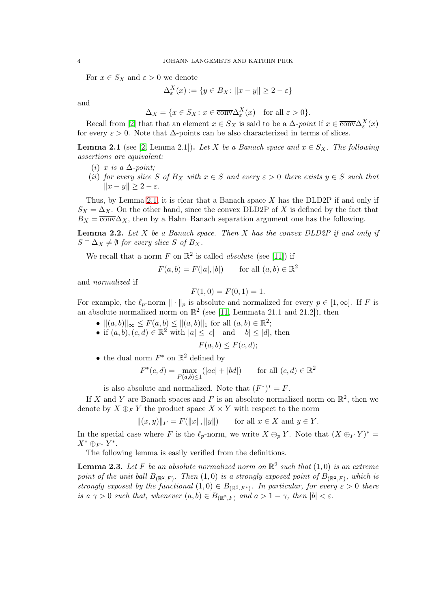For  $x \in S_X$  and  $\varepsilon > 0$  we denote

$$
\Delta_{\varepsilon}^{X}(x) := \{ y \in B_X \colon ||x - y|| \ge 2 - \varepsilon \}
$$

and

$$
\Delta_X = \{ x \in S_X : x \in \overline{\text{conv}}\Delta_{\varepsilon}^X(x) \quad \text{for all } \varepsilon > 0 \}.
$$

Recall from [\[2\]](#page-11-2) that that an element  $x \in S_X$  is said to be a  $\Delta$ -point if  $x \in \overline{\text{conv}}\Delta_{\varepsilon}^X(x)$ for every  $\varepsilon > 0$ . Note that  $\Delta$ -points can be also characterized in terms of slices.

<span id="page-3-0"></span>**Lemma 2.1** (see [\[2,](#page-11-2) Lemma 2.1]). Let X be a Banach space and  $x \in S_X$ . The following assertions are equivalent:

- (i) x is a  $\Delta$ -point;
- (ii) for every slice S of  $B_X$  with  $x \in S$  and every  $\varepsilon > 0$  there exists  $y \in S$  such that  $||x - y|| > 2 - \varepsilon.$

Thus, by Lemma [2.1,](#page-3-0) it is clear that a Banach space  $X$  has the DLD2P if and only if  $S_X = \Delta_X$ . On the other hand, since the convex DLD2P of X is defined by the fact that  $B_X = \overline{\text{conv}}\Delta_X$ , then by a Hahn–Banach separation argument one has the following.

**Lemma 2.2.** Let X be a Banach space. Then X has the convex  $DLD2P$  if and only if  $S \cap \Delta_X \neq \emptyset$  for every slice S of  $B_X$ .

We recall that a norm F on  $\mathbb{R}^2$  is called *absolute* (see [\[11\]](#page-12-15)) if

$$
F(a, b) = F(|a|, |b|) \quad \text{for all } (a, b) \in \mathbb{R}^2
$$

and normalized if

$$
F(1,0) = F(0,1) = 1.
$$

For example, the  $\ell_p$ -norm  $\|\cdot\|_p$  is absolute and normalized for every  $p \in [1,\infty]$ . If F is an absolute normalized norm on  $\mathbb{R}^2$  (see [\[11,](#page-12-15) Lemmata 21.1 and 21.2]), then

- $||(a, b)||_{\infty} \leq F(a, b) \leq ||(a, b)||_1$  for all  $(a, b) \in \mathbb{R}^2$ ;
- if  $(a, b), (c, d) \in \mathbb{R}^2$  with  $|a| \leq |c|$  and  $|b| \leq |d|$ , then

$$
F(a,b) \le F(c,d);
$$

• the dual norm  $F^*$  on  $\mathbb{R}^2$  defined by

$$
F^*(c, d) = \max_{F(a, b) \le 1} (|ac| + |bd|) \quad \text{for all } (c, d) \in \mathbb{R}^2
$$

is also absolute and normalized. Note that  $(F^*)^* = F$ .

If X and Y are Banach spaces and F is an absolute normalized norm on  $\mathbb{R}^2$ , then we denote by  $X \oplus_F Y$  the product space  $X \times Y$  with respect to the norm

$$
||(x, y)||_F = F(||x||, ||y||)
$$
 for all  $x \in X$  and  $y \in Y$ .

In the special case where F is the  $\ell_p$ -norm, we write  $X \oplus_p Y$ . Note that  $(X \oplus_F Y)^* =$  $X^* \oplus_{F^*} Y^*$ .

The following lemma is easily verified from the definitions.

<span id="page-3-1"></span>**Lemma 2.3.** Let F be an absolute normalized norm on  $\mathbb{R}^2$  such that  $(1,0)$  is an extreme point of the unit ball  $B_{(\mathbb{R}^2,F)}$ . Then  $(1,0)$  is a strongly exposed point of  $B_{(\mathbb{R}^2,F)}$ , which is strongly exposed by the functional  $(1,0) \in B_{(\mathbb{R}^2,F^*)}$ . In particular, for every  $\varepsilon > 0$  there is a  $\gamma > 0$  such that, whenever  $(a, b) \in B_{\mathbb{R}^2, F}$  and  $a > 1 - \gamma$ , then  $|b| < \varepsilon$ .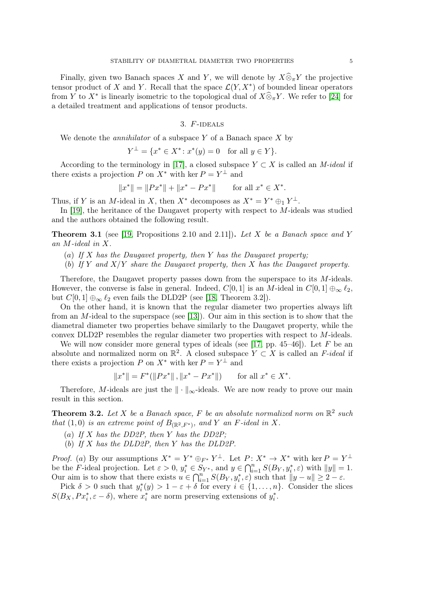Finally, given two Banach spaces X and Y, we will denote by  $X\widehat{\otimes}_{\pi} Y$  the projective tensor product of X and Y. Recall that the space  $\mathcal{L}(Y, X^*)$  of bounded linear operators from Y to  $X^*$  is linearly isometric to the topological dual of  $X\widehat{\otimes}_{\pi}Y$ . We refer to [\[24\]](#page-12-16) for a detailed treatment and applications of tensor products.

## 3.  $F$ -IDEALS

<span id="page-4-0"></span>We denote the *annihilator* of a subspace  $Y$  of a Banach space  $X$  by

$$
Y^{\perp} = \{ x^* \in X^* : x^*(y) = 0 \text{ for all } y \in Y \}.
$$

According to the terminology in [\[17\]](#page-12-17), a closed subspace  $Y \subset X$  is called an M-ideal if there exists a projection P on  $X^*$  with ker  $P = Y^{\perp}$  and

$$
||x^*|| = ||Px^*|| + ||x^* - Px^*|| \qquad \text{for all } x^* \in X^*.
$$

Thus, if Y is an M-ideal in X, then  $X^*$  decomposes as  $X^* = Y^* \oplus_1 Y^{\perp}$ .

In [\[19\]](#page-12-5), the heritance of the Daugavet property with respect to M-ideals was studied and the authors obtained the following result.

<span id="page-4-2"></span>**Theorem 3.1** (see [\[19,](#page-12-5) Propositions 2.10 and 2.11]). Let X be a Banach space and Y an M-ideal in X.

- (a) If X has the Daugavet property, then Y has the Daugavet property;
- (b) If Y and  $X/Y$  share the Daugavet property, then X has the Daugavet property.

Therefore, the Daugavet property passes down from the superspace to its M-ideals. However, the converse is false in general. Indeed,  $C[0, 1]$  is an M-ideal in  $C[0, 1] \oplus_{\infty} \ell_2$ , but  $C[0,1] \oplus_{\infty} \ell_2$  even fails the DLD2P (see [\[18,](#page-12-8) Theorem 3.2]).

On the other hand, it is known that the regular diameter two properties always lift from an M-ideal to the superspace (see [\[13\]](#page-12-9)). Our aim in this section is to show that the diametral diameter two properties behave similarly to the Daugavet property, while the convex DLD2P resembles the regular diameter two properties with respect to M-ideals.

We will now consider more general types of ideals (see [\[17,](#page-12-17) pp. 45–46]). Let  $F$  be an absolute and normalized norm on  $\mathbb{R}^2$ . A closed subspace  $Y \subset X$  is called an F-ideal if there exists a projection P on  $X^*$  with ker  $P = Y^{\perp}$  and

$$
||x^*|| = F^*(||Px^*||, ||x^* - Px^*||) \qquad \text{for all } x^* \in X^*.
$$

Therefore, M-ideals are just the  $\|\cdot\|_{\infty}$ -ideals. We are now ready to prove our main result in this section.

<span id="page-4-1"></span>**Theorem 3.2.** Let X be a Banach space, F be an absolute normalized norm on  $\mathbb{R}^2$  such that  $(1,0)$  is an extreme point of  $B_{(\mathbb{R}^2,F^*)}$ , and Y an F-ideal in X.

- (a) If X has the DD2P, then Y has the DD2P;
- (b) If X has the DLD2P, then Y has the DLD2P.

*Proof.* (a) By our assumptions  $X^* = Y^* \oplus_{F^*} Y^{\perp}$ . Let  $P: X^* \to X^*$  with ker  $P = Y^{\perp}$ be the F-ideal projection. Let  $\varepsilon > 0$ ,  $y_i^* \in S_{Y^*}$ , and  $y \in \bigcap_{i=1}^n S(B_Y, y_i^*, \varepsilon)$  with  $||y|| = 1$ . Our aim is to show that there exists  $u \in \bigcap_{i=1}^n S(B_Y, y_i^*, \varepsilon)$  such that  $||y - u|| \geq 2 - \varepsilon$ .

Pick  $\delta > 0$  such that  $y_i^*(y) > 1 - \varepsilon + \delta$  for every  $i \in \{1, ..., n\}$ . Consider the slices  $S(B_X, Px_i^*, \varepsilon - \delta)$ , where  $x_i^*$  are norm preserving extensions of  $y_i^*$ .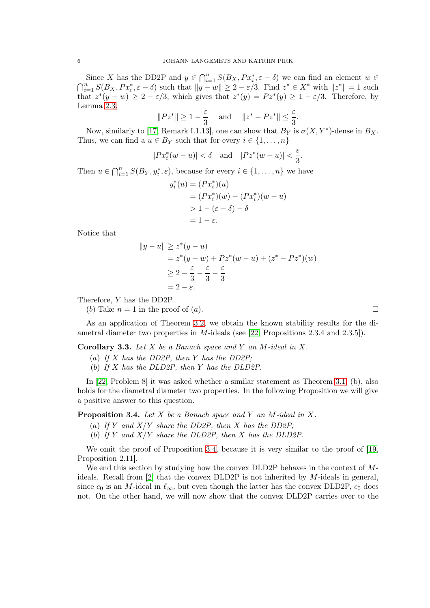Since X has the DD2P and  $y \in \bigcap_{i=1}^n S(B_X, Px_i^*, \varepsilon - \delta)$  we can find an element  $w \in$  $\bigcap_{i=1}^n S(B_X, Px_i^*, \varepsilon - \delta)$  such that  $||y - w|| \geq 2 - \varepsilon/3$ . Find  $z^* \in X^*$  with  $||z^*|| = 1$  such that  $z^*(y - w) \geq 2 - \varepsilon/3$ , which gives that  $z^*(y) = Pz^*(y) \geq 1 - \varepsilon/3$ . Therefore, by Lemma [2.3,](#page-3-1)

$$
||Pz^*|| \ge 1 - \frac{\varepsilon}{3}
$$
 and  $||z^* - Pz^*|| \le \frac{\varepsilon}{3}$ .

Now, similarly to [\[17,](#page-12-17) Remark I.1.13], one can show that  $B_Y$  is  $\sigma(X, Y^*)$ -dense in  $B_X$ . Thus, we can find a  $u \in B_Y$  such that for every  $i \in \{1, \ldots, n\}$ 

$$
|Px_i^*(w-u)| < \delta \quad \text{and} \quad |Pz^*(w-u)| < \frac{\varepsilon}{3}.
$$

Then  $u \in \bigcap_{i=1}^n S(B_Y, y_i^*, \varepsilon)$ , because for every  $i \in \{1, ..., n\}$  we have

$$
y_i^*(u) = (Px_i^*)(u) \n= (Px_i^*)(w) - (Px_i^*)(w - u) \n>1 - (\varepsilon - \delta) - \delta \n= 1 - \varepsilon.
$$

Notice that

$$
||y - u|| \geq z^*(y - u)
$$
  
=  $z^*(y - w) + Pz^*(w - u) + (z^* - Pz^*)(w)$   
 $\geq 2 - \frac{\varepsilon}{3} - \frac{\varepsilon}{3} - \frac{\varepsilon}{3}$   
=  $2 - \varepsilon$ .

Therefore, Y has the DD2P.

(b) Take  $n = 1$  in the proof of (a).

 $\parallel$ 

As an application of Theorem [3.2,](#page-4-1) we obtain the known stability results for the diametral diameter two properties in M-ideals (see [\[22,](#page-12-18) Propositions 2.3.4 and 2.3.5]).

Corollary 3.3. Let  $X$  be a Banach space and  $Y$  an  $M$ -ideal in  $X$ .

- (a) If  $X$  has the DD2P, then  $Y$  has the DD2P;
- (b) If X has the DLD2P, then Y has the DLD2P.

In [\[22,](#page-12-18) Problem 8] it was asked whether a similar statement as Theorem [3.1,](#page-4-2) (b), also holds for the diametral diameter two properties. In the following Proposition we will give a positive answer to this question.

<span id="page-5-0"></span>**Proposition 3.4.** Let  $X$  be a Banach space and  $Y$  an  $M$ -ideal in  $X$ .

- (a) If Y and  $X/Y$  share the DD2P, then X has the DD2P;
- (b) If Y and  $X/Y$  share the DLD2P, then X has the DLD2P.

We omit the proof of Proposition [3.4,](#page-5-0) because it is very similar to the proof of [\[19,](#page-12-5) Proposition 2.11].

We end this section by studying how the convex DLD2P behaves in the context of Mideals. Recall from [\[2\]](#page-11-2) that the convex DLD2P is not inherited by M-ideals in general, since  $c_0$  is an M-ideal in  $\ell_{\infty}$ , but even though the latter has the convex DLD2P,  $c_0$  does not. On the other hand, we will now show that the convex DLD2P carries over to the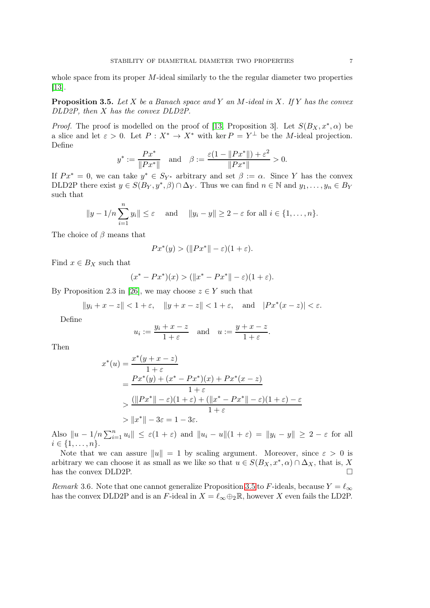whole space from its proper  $M$ -ideal similarly to the the regular diameter two properties [\[13\]](#page-12-9).

<span id="page-6-0"></span>**Proposition 3.5.** Let X be a Banach space and Y an M-ideal in X. If Y has the convex DLD2P, then X has the convex DLD2P.

*Proof.* The proof is modelled on the proof of [\[13,](#page-12-9) Proposition 3]. Let  $S(B_X, x^*, \alpha)$  be a slice and let  $\varepsilon > 0$ . Let  $P : X^* \to X^*$  with ker  $P = Y^{\perp}$  be the M-ideal projection. Define

$$
y^* := \frac{Px^*}{\|Px^*\|}
$$
 and  $\beta := \frac{\varepsilon(1 - \|Px^*\|) + \varepsilon^2}{\|Px^*\|} > 0.$ 

If  $Px^* = 0$ , we can take  $y^* \in S_{Y^*}$  arbitrary and set  $\beta := \alpha$ . Since Y has the convex DLD2P there exist  $y \in S(B_Y, y^*, \beta) \cap \Delta_Y$ . Thus we can find  $n \in \mathbb{N}$  and  $y_1, \ldots, y_n \in B_Y$ such that

$$
||y - 1/n \sum_{i=1}^{n} y_i|| \le \varepsilon
$$
 and  $||y_i - y|| \ge 2 - \varepsilon$  for all  $i \in \{1, ..., n\}.$ 

The choice of  $\beta$  means that

$$
Px^*(y) > (\|Px^*\| - \varepsilon)(1 + \varepsilon).
$$

Find  $x \in B_X$  such that

$$
(x^* - Px^*)(x) > (||x^* - Px^*|| - \varepsilon)(1 + \varepsilon).
$$

By Proposition 2.3 in [\[26\]](#page-12-19), we may choose  $z \in Y$  such that

$$
||y_i + x - z|| < 1 + \varepsilon, \quad ||y + x - z|| < 1 + \varepsilon, \quad \text{and} \quad |Px^*(x - z)| < \varepsilon.
$$

Define

$$
u_i := \frac{y_i + x - z}{1 + \varepsilon}
$$
 and  $u := \frac{y + x - z}{1 + \varepsilon}$ .

Then

$$
x^*(u) = \frac{x^*(y+x-z)}{1+\varepsilon}
$$
  
= 
$$
\frac{Px^*(y) + (x^* - Px^*)(x) + Px^*(x-z)}{1+\varepsilon}
$$
  
> 
$$
\frac{(\|Px^*\| - \varepsilon)(1+\varepsilon) + (\|x^* - Px^*\| - \varepsilon)(1+\varepsilon) - \varepsilon}{1+\varepsilon}
$$
  
> 
$$
\|x^*\| - 3\varepsilon = 1 - 3\varepsilon.
$$

Also  $||u - 1/n \sum_{i=1}^n u_i|| \leq \varepsilon(1+\varepsilon)$  and  $||u_i - u||(1+\varepsilon) = ||y_i - y|| \geq 2 - \varepsilon$  for all  $i \in \{1, \ldots, n\}.$ 

Note that we can assure  $||u|| = 1$  by scaling argument. Moreover, since  $\varepsilon > 0$  is arbitrary we can choose it as small as we like so that  $u \in S(B_X, x^*, \alpha) \cap \Delta_X$ , that is, X has the convex DLD2P.

Remark 3.6. Note that one cannot generalize Proposition [3.5](#page-6-0) to F-ideals, because  $Y = \ell_{\infty}$ has the convex DLD2P and is an F-ideal in  $X = \ell_{\infty} \oplus_2 \mathbb{R}$ , however X even fails the LD2P.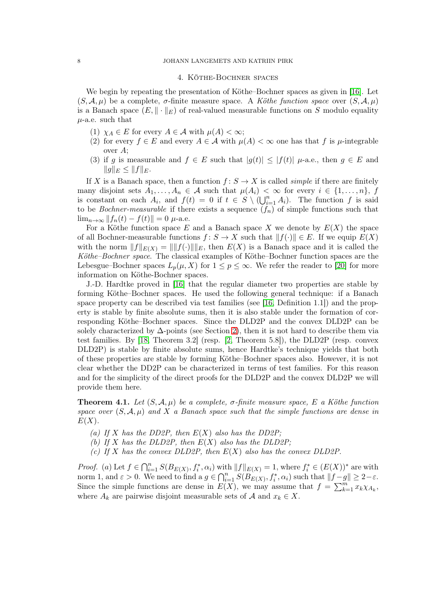## 4. Köthe-Bochner spaces

We begin by repeating the presentation of Köthe–Bochner spaces as given in [\[16\]](#page-12-12). Let  $(S, \mathcal{A}, \mu)$  be a complete,  $\sigma$ -finite measure space. A Köthe function space over  $(S, \mathcal{A}, \mu)$ is a Banach space  $(E, \|\cdot\|_E)$  of real-valued measurable functions on S modulo equality  $\mu$ -a.e. such that

- (1)  $\chi_A \in E$  for every  $A \in \mathcal{A}$  with  $\mu(A) < \infty$ ;
- (2) for every  $f \in E$  and every  $A \in \mathcal{A}$  with  $\mu(A) < \infty$  one has that f is  $\mu$ -integrable over  $A$ ;
- (3) if g is measurable and  $f \in E$  such that  $|g(t)| \leq |f(t)| \mu$ -a.e., then  $g \in E$  and  $||g||_E \leq ||f||_E.$

If X is a Banach space, then a function  $f: S \to X$  is called *simple* if there are finitely many disjoint sets  $A_1, \ldots, A_n \in \mathcal{A}$  such that  $\mu(A_i) < \infty$  for every  $i \in \{1, \ldots, n\}, f$ is constant on each  $A_i$ , and  $f(t) = 0$  if  $t \in S \setminus (\bigcup_{i=1}^n A_i)$ . The function f is said to be *Bochner-measurable* if there exists a sequence  $(f_n)$  of simple functions such that  $\lim_{n\to\infty} ||f_n(t) - f(t)|| = 0$  µ-a.e.

For a Köthe function space E and a Banach space X we denote by  $E(X)$  the space of all Bochner-measurable functions  $f: S \to X$  such that  $||f(\cdot)|| \in E$ . If we equip  $E(X)$ with the norm  $||f||_{E(X)} = ||||f(\cdot)||||_E$ , then  $E(X)$  is a Banach space and it is called the Köthe–Bochner space. The classical examples of Köthe–Bochner function spaces are the Lebesgue–Bochner spaces  $L_p(\mu, X)$  for  $1 \leq p \leq \infty$ . We refer the reader to [\[20\]](#page-12-20) for more information on Köthe-Bochner spaces.

J.-D. Hardtke proved in [\[16\]](#page-12-12) that the regular diameter two properties are stable by forming Köthe–Bochner spaces. He used the following general technique: if a Banach space property can be described via test families (see [\[16,](#page-12-12) Definition 1.1]) and the property is stable by finite absolute sums, then it is also stable under the formation of corresponding Köthe–Bochner spaces. Since the DLD2P and the convex DLD2P can be solely characterized by  $\Delta$ -points (see Section [2\)](#page-2-0), then it is not hard to describe them via test families. By [\[18,](#page-12-8) Theorem 3.2] (resp. [\[2,](#page-11-2) Theorem 5.8]), the DLD2P (resp. convex DLD2P) is stable by finite absolute sums, hence Hardtke's technique yields that both of these properties are stable by forming Köthe–Bochner spaces also. However, it is not clear whether the DD2P can be characterized in terms of test families. For this reason and for the simplicity of the direct proofs for the DLD2P and the convex DLD2P we will provide them here.

<span id="page-7-0"></span>**Theorem 4.1.** Let  $(S, \mathcal{A}, \mu)$  be a complete,  $\sigma$ -finite measure space, E a Köthe function space over  $(S, \mathcal{A}, \mu)$  and X a Banach space such that the simple functions are dense in  $E(X)$ .

- (a) If X has the DD2P, then  $E(X)$  also has the DD2P;
- (b) If X has the DLD2P, then  $E(X)$  also has the DLD2P;
- (c) If X has the convex DLD2P, then  $E(X)$  also has the convex DLD2P.

*Proof.* (a) Let  $f \in \bigcap_{i=1}^n S(B_{E(X)}, f_i^*, \alpha_i)$  with  $||f||_{E(X)} = 1$ , where  $f_i^* \in (E(X))^*$  are with norm 1, and  $\varepsilon > 0$ . We need to find a  $g \in \bigcap_{i=1}^n S(B_{E(X)}, f_i^*, \alpha_i)$  such that  $||f-g|| \geq 2-\varepsilon$ . Since the simple functions are dense in  $E(X)$ , we may assume that  $f = \sum_{k=1}^{m} x_k \chi_{A_k}$ , where  $A_k$  are pairwise disjoint measurable sets of A and  $x_k \in X$ .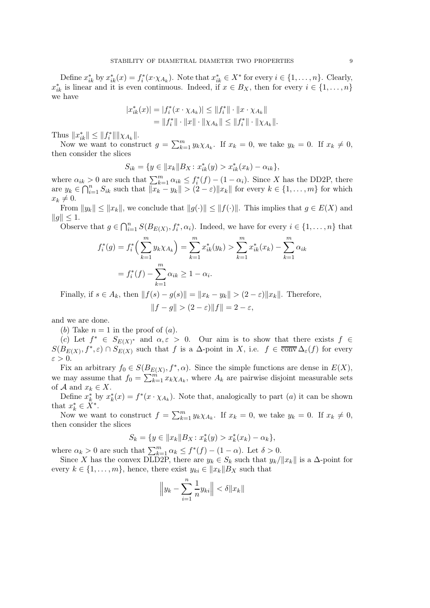Define  $x_{ik}^*$  by  $x_{ik}^*(x) = f_i^*(x \cdot \chi_{A_k})$ . Note that  $x_{ik}^* \in X^*$  for every  $i \in \{1, ..., n\}$ . Clearly,  $x_{ik}^*$  is linear and it is even continuous. Indeed, if  $x \in B_X$ , then for every  $i \in \{1, \ldots, n\}$ we have

$$
|x_{ik}^*(x)| = |f_i^*(x \cdot \chi_{A_k})| \le ||f_i^*|| \cdot ||x \cdot \chi_{A_k}||
$$
  
=  $||f_i^*|| \cdot ||x|| \cdot ||\chi_{A_k}|| \le ||f_i^*|| \cdot ||\chi_{A_k}||.$ 

Thus  $||x_{ik}^*|| \leq ||f_i^*|| ||\chi_{A_k}||.$ 

Now we want to construct  $g = \sum_{k=1}^{m} y_k \chi_{A_k}$ . If  $x_k = 0$ , we take  $y_k = 0$ . If  $x_k \neq 0$ , then consider the slices

$$
S_{ik} = \{ y \in ||x_k|| B_X : x_{ik}^*(y) > x_{ik}^*(x_k) - \alpha_{ik} \},\
$$

where  $\alpha_{ik} > 0$  are such that  $\sum_{k=1}^{m} \alpha_{ik} \leq f_i^*(f) - (1 - \alpha_i)$ . Since X has the DD2P, there are  $y_k \in \bigcap_{i=1}^n S_{ik}$  such that  $\|\overline{x_k} - y_k\| > (2 - \varepsilon) \|x_k\|$  for every  $k \in \{1, \ldots, m\}$  for which  $x_k \neq 0.$ 

From  $||y_k|| \le ||x_k||$ , we conclude that  $||g(\cdot)|| \le ||f(\cdot)||$ . This implies that  $g \in E(X)$  and  $||q|| \leq 1.$ 

Observe that  $g \in \bigcap_{i=1}^n S(B_{E(X)}, f_i^*, \alpha_i)$ . Indeed, we have for every  $i \in \{1, \ldots, n\}$  that

$$
f_i^*(g) = f_i^*\left(\sum_{k=1}^m y_k \chi_{A_k}\right) = \sum_{k=1}^m x_{ik}^*(y_k) > \sum_{k=1}^m x_{ik}^*(x_k) - \sum_{k=1}^m \alpha_{ik}
$$
\n
$$
= f_i^*(f) - \sum_{k=1}^m \alpha_{ik} \ge 1 - \alpha_i.
$$

Finally, if  $s \in A_k$ , then  $||f(s) - g(s)|| = ||x_k - y_k|| > (2 - \varepsilon) ||x_k||$ . Therefore,

$$
||f-g||>(2-\varepsilon)||f||=2-\varepsilon,
$$

and we are done.

(b) Take  $n = 1$  in the proof of  $(a)$ .

(c) Let  $f^* \in S_{E(X)^*}$  and  $\alpha, \varepsilon > 0$ . Our aim is to show that there exists  $f \in$  $S(B_{E(X)}, f^*, \varepsilon) \cap S_{E(X)}$  such that f is a  $\Delta$ -point in X, i.e.  $f \in \overline{conv} \Delta_{\varepsilon}(f)$  for every  $\varepsilon > 0$ .

Fix an arbitrary  $f_0 \in S(B_{E(X)}, f^*, \alpha)$ . Since the simple functions are dense in  $E(X)$ , we may assume that  $f_0 = \sum_{k=1}^{m} x_k \chi_{A_k}$ , where  $A_k$  are pairwise disjoint measurable sets of A and  $x_k \in X$ .

Define  $x_k^*$  by  $x_k^*(x) = f^*(x \cdot \chi_{A_k})$ . Note that, analogically to part  $(a)$  it can be shown that  $x_k^* \in \overset{\circ}{X}^*$ .

Now we want to construct  $f = \sum_{k=1}^{m} y_k \chi_{A_k}$ . If  $x_k = 0$ , we take  $y_k = 0$ . If  $x_k \neq 0$ , then consider the slices

$$
S_k = \{ y \in ||x_k|| B_X \colon x_k^*(y) > x_k^*(x_k) - \alpha_k \},\
$$

where  $\alpha_k > 0$  are such that  $\sum_{k=1}^m \alpha_k \leq f^*(f) - (1 - \alpha)$ . Let  $\delta > 0$ .

Since X has the convex DLD2P, there are  $y_k \in S_k$  such that  $y_k/||x_k||$  is a  $\Delta$ -point for every  $k \in \{1, \ldots, m\}$ , hence, there exist  $y_{ki} \in ||x_k||B_X$  such that

$$
\left\|y_k - \sum_{i=1}^n \frac{1}{n} y_{ki}\right\| < \delta \|x_k\|
$$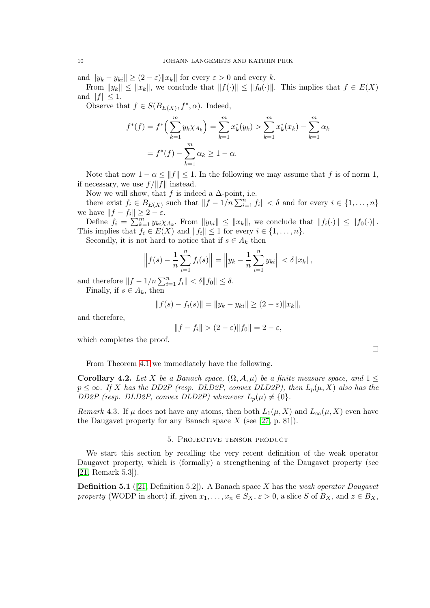and  $||y_k - y_{ki}|| \geq (2 - \varepsilon) ||x_k||$  for every  $\varepsilon > 0$  and every k.

From  $||y_k|| \le ||x_k||$ , we conclude that  $||f(\cdot)|| \le ||f_0(\cdot)||$ . This implies that  $f \in E(X)$ and  $||f|| \leq 1$ .

Observe that  $f \in S(B_{E(X)}, f^*, \alpha)$ . Indeed,

$$
f^*(f) = f^*\left(\sum_{k=1}^m y_k \chi_{A_k}\right) = \sum_{k=1}^m x_k^*(y_k) > \sum_{k=1}^m x_k^*(x_k) - \sum_{k=1}^m \alpha_k
$$
  
=  $f^*(f) - \sum_{k=1}^m \alpha_k \ge 1 - \alpha$ .

Note that now  $1 - \alpha \le ||f|| \le 1$ . In the following we may assume that f is of norm 1, if necessary, we use  $f/\|f\|$  instead.

Now we will show, that f is indeed a  $\Delta$ -point, i.e.

there exist  $f_i \in B_{E(X)}$  such that  $||f - 1/n \sum_{i=1}^n f_i|| < \delta$  and for every  $i \in \{1, ..., n\}$ we have  $||f - f_i|| \geq 2 - \varepsilon$ .

Define  $f_i = \sum_{k=1}^m y_{ki} \chi_{A_k}$ . From  $||y_{ki}|| \le ||x_k||$ , we conclude that  $||f_i(\cdot)|| \le ||f_0(\cdot)||$ . This implies that  $f_i \in E(X)$  and  $||f_i|| \leq 1$  for every  $i \in \{1, \ldots, n\}.$ 

Secondly, it is not hard to notice that if  $s \in A_k$  then

$$
\left\|f(s) - \frac{1}{n}\sum_{i=1}^{n} f_i(s)\right\| = \left\|y_k - \frac{1}{n}\sum_{i=1}^{n} y_{ki}\right\| < \delta \|x_k\|,
$$

and therefore  $||f - 1/n \sum_{i=1}^n f_i|| < \delta ||f_0|| \leq \delta$ . Finally, if  $s \in A_k$ , then

$$
||f(s) - f_i(s)|| = ||y_k - y_{ki}|| \ge (2 - \varepsilon) ||x_k||,
$$

and therefore,

$$
||f - f_i|| > (2 - \varepsilon) ||f_0|| = 2 - \varepsilon,
$$

which completes the proof.

From Theorem [4.1](#page-7-0) we immediately have the following.

<span id="page-9-0"></span>Corollary 4.2. Let X be a Banach space,  $(\Omega, \mathcal{A}, \mu)$  be a finite measure space, and  $1 \leq$  $p \leq \infty$ . If X has the DD2P (resp. DLD2P, convex DLD2P), then  $L_p(\mu, X)$  also has the DD2P (resp. DLD2P, convex DLD2P) whenever  $L_p(\mu) \neq \{0\}.$ 

<span id="page-9-2"></span>Remark 4.3. If  $\mu$  does not have any atoms, then both  $L_1(\mu, X)$  and  $L_{\infty}(\mu, X)$  even have the Daugavet property for any Banach space  $X$  (see [\[27,](#page-12-13) p. 81]).

### 5. Projective tensor product

We start this section by recalling the very recent definition of the weak operator Daugavet property, which is (formally) a strengthening of the Daugavet property (see [\[21,](#page-12-14) Remark 5.3]).

<span id="page-9-1"></span>**Definition 5.1** ([\[21,](#page-12-14) Definition 5.2]). A Banach space X has the weak operator Daugavet property (WODP in short) if, given  $x_1, \ldots, x_n \in S_X$ ,  $\varepsilon > 0$ , a slice S of  $B_X$ , and  $z \in B_X$ ,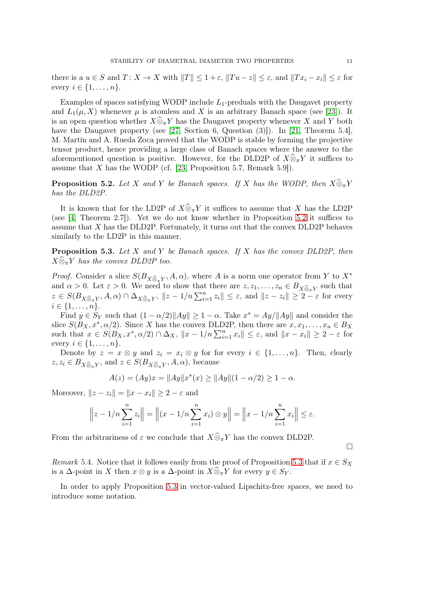there is a  $u \in S$  and  $T: X \to X$  with  $||T|| \leq 1 + \varepsilon$ ,  $||Tu - z|| \leq \varepsilon$ , and  $||Tx_i - x_i|| \leq \varepsilon$  for every  $i \in \{1, \ldots, n\}$ .

Examples of spaces satisfying WODP include  $L_1$ -preduals with the Daugavet property and  $L_1(\mu, X)$  whenever  $\mu$  is atomless and X is an arbitrary Banach space (see [\[23\]](#page-12-21)). It is an open question whether  $X\widehat{\otimes}_{\pi}Y$  has the Daugavet property whenever X and Y both have the Daugavet property (see [\[27,](#page-12-13) Section 6, Question (3)]). In [\[21,](#page-12-14) Theorem 5.4], M. Martín and A. Rueda Zoca proved that the WODP is stable by forming the projective tensor product, hence providing a large class of Banach spaces where the answer to the aforementioned question is positive. However, for the DLD2P of  $X\hat{\otimes}_\pi Y$  it suffices to assume that  $X$  has the WODP (cf. [\[23,](#page-12-21) Proposition 5.7, Remark 5.9]).

<span id="page-10-0"></span>**Proposition 5.2.** Let X and Y be Banach spaces. If X has the WODP, then  $X \widehat{\otimes}_{\pi} Y$ has the DLD2P.

It is known that for the LD2P of  $X\widehat{\otimes}_{\pi} Y$  it suffices to assume that X has the LD2P (see [\[4,](#page-12-1) Theorem 2.7]). Yet we do not know whether in Proposition [5.2](#page-10-0) it suffices to assume that  $X$  has the DLD2P. Fortunately, it turns out that the convex DLD2P behaves similarly to the LD2P in this manner.

<span id="page-10-1"></span>**Proposition 5.3.** Let X and Y be Banach spaces. If X has the convex DLD2P, then  $X\widehat{\otimes}_{\pi}Y$  has the convex DLD2P too.

*Proof.* Consider a slice  $S(B_{X \widehat{\otimes}_{\pi} Y}, A, \alpha)$ , where A is a norm one operator from Y to  $X^*$ and  $\alpha > 0$ . Let  $\varepsilon > 0$ . We need to show that there are  $z, z_1, \ldots, z_n \in B_{X \widehat{\otimes}_{\pi} Y}$  such that  $z \in S(B_{X \widehat{\otimes}_{\pi} Y}, A, \alpha) \cap \Delta_{X \widehat{\otimes}_{\pi} Y}, \|z - 1/n \sum_{i=1}^n z_i\| \leq \varepsilon$ , and  $\|z - z_i\| \geq 2 - \varepsilon$  for every  $i \in \{1, \ldots, n\}.$ 

Find  $y \in S_Y$  such that  $(1 - \alpha/2) ||Ay|| \ge 1 - \alpha$ . Take  $x^* = Ay/||Ay||$  and consider the slice  $S(B_X, x^*, \alpha/2)$ . Since X has the convex DLD2P, then there are  $x, x_1, \ldots, x_n \in B_X$ such that  $x \in S(B_X, x^*, \alpha/2) \cap \Delta_X$ ,  $||x - 1/n \sum_{i=1}^n x_i|| \leq \varepsilon$ , and  $||x - x_i|| \geq 2 - \varepsilon$  for every  $i \in \{1, \ldots, n\}$ .

Denote by  $z = x \otimes y$  and  $z_i = x_i \otimes y$  for for every  $i \in \{1, ..., n\}$ . Then, clearly  $z, z_i \in B_{X \widehat{\otimes}_{\pi} Y}$ , and  $z \in S(B_{X \widehat{\otimes}_{\pi} Y}, A, \alpha)$ , because

$$
A(z) = (Ay)x = ||Ay||x^*(x) \ge ||Ay||(1 - \alpha/2) \ge 1 - \alpha.
$$

Moreover,  $||z - z_i|| = ||x - x_i|| \ge 2 - \varepsilon$  and

$$
\left\| z - 1/n \sum_{i=1}^{n} z_i \right\| = \left\| (x - 1/n \sum_{i=1}^{n} x_i) \otimes y \right\| = \left\| x - 1/n \sum_{i=1}^{n} x_i \right\| \le \varepsilon.
$$

From the arbitrariness of  $\varepsilon$  we conclude that  $X\widehat{\otimes}_{\pi} Y$  has the convex DLD2P.

 $\Box$ 

Remark 5.4. Notice that it follows easily from the proof of Proposition [5.3](#page-10-1) that if  $x \in S_X$ is a  $\Delta$ -point in X then  $x \otimes y$  is a  $\Delta$ -point in  $X \widehat{\otimes}_{\pi} Y$  for every  $y \in S_Y$ .

In order to apply Proposition [5.3](#page-10-1) in vector-valued Lipschitz-free spaces, we need to introduce some notation.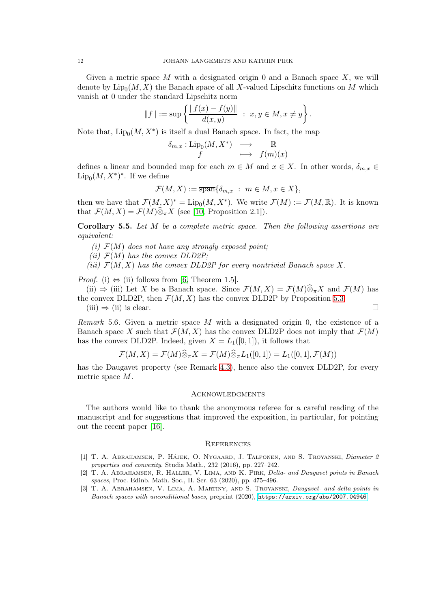Given a metric space M with a designated origin 0 and a Banach space  $X$ , we will denote by  $\text{Lip}_0(M, X)$  the Banach space of all X-valued Lipschitz functions on M which vanish at 0 under the standard Lipschitz norm

$$
||f|| := \sup \left\{ \frac{||f(x) - f(y)||}{d(x, y)} \ : \ x, y \in M, x \neq y \right\}.
$$

Note that,  $\text{Lip}_0(M, X^*)$  is itself a dual Banach space. In fact, the map

$$
\begin{array}{ccc}\n\delta_{m,x} : \text{Lip}_0(M, X^*) & \longrightarrow & \mathbb{R} \\
f & \longmapsto & f(m)(x)\n\end{array}
$$

defines a linear and bounded map for each  $m \in M$  and  $x \in X$ . In other words,  $\delta_{m,x} \in$  $\mathrm{Lip}_0(M,X^*)^*$ . If we define

$$
\mathcal{F}(M,X) := \overline{\operatorname{span}}\{\delta_{m,x} : m \in M, x \in X\},\
$$

then we have that  $\mathcal{F}(M, X)^* = \text{Lip}_0(M, X^*)$ . We write  $\mathcal{F}(M) := \mathcal{F}(M, \mathbb{R})$ . It is known that  $\mathcal{F}(M,X) = \mathcal{F}(M)\widehat{\otimes}_{\pi}X$  (see [\[10,](#page-12-22) Proposition 2.1]).

<span id="page-11-3"></span>**Corollary 5.5.** Let  $M$  be a complete metric space. Then the following assertions are equivalent:

- (i)  $\mathcal{F}(M)$  does not have any strongly exposed point;
- (ii)  $\mathcal{F}(M)$  has the convex DLD2P;
- (iii)  $\mathcal{F}(M, X)$  has the convex DLD2P for every nontrivial Banach space X.

*Proof.* (i)  $\Leftrightarrow$  (ii) follows from [\[6,](#page-12-23) Theorem 1.5].

(ii)  $\Rightarrow$  (iii) Let X be a Banach space. Since  $\mathcal{F}(M,X) = \mathcal{F}(M) \widehat{\otimes}_n X$  and  $\mathcal{F}(M)$  has the convex DLD2P, then  $\mathcal{F}(M, X)$  has the convex DLD2P by Proposition [5.3.](#page-10-1)

 $(iii) \Rightarrow (ii)$  is clear.

Remark 5.6. Given a metric space M with a designated origin 0, the existence of a Banach space X such that  $\mathcal{F}(M, X)$  has the convex DLD2P does not imply that  $\mathcal{F}(M)$ has the convex DLD2P. Indeed, given  $X = L_1([0, 1])$ , it follows that

$$
\mathcal{F}(M,X)=\mathcal{F}(M)\widehat{\otimes}_{\pi}X=\mathcal{F}(M)\widehat{\otimes}_{\pi}L_1([0,1])=L_1([0,1],\mathcal{F}(M))
$$

has the Daugavet property (see Remark [4.3\)](#page-9-2), hence also the convex DLD2P, for every metric space M.

### **ACKNOWLEDGMENTS**

The authors would like to thank the anonymous referee for a careful reading of the manuscript and for suggestions that improved the exposition, in particular, for pointing out the recent paper [\[16\]](#page-12-12).

#### **REFERENCES**

- <span id="page-11-1"></span>[1] T. A. Abrahamsen, P. Hájek, O. Nygaard, J. Talponen, and S. Troyanski, Diameter 2 properties and convexity, Studia Math., 232 (2016), pp. 227–242.
- <span id="page-11-2"></span>[2] T. A. Abrahamsen, R. Haller, V. Lima, and K. Pirk, Delta- and Daugavet points in Banach spaces, Proc. Edinb. Math. Soc., II. Ser. 63 (2020), pp. 475–496.
- <span id="page-11-0"></span>[3] T. A. ABRAHAMSEN, V. LIMA, A. MARTINY, AND S. TROYANSKI, *Daugavet- and delta-points in* Banach spaces with unconditional bases, preprint (2020), <https://arxiv.org/abs/2007.04946>.